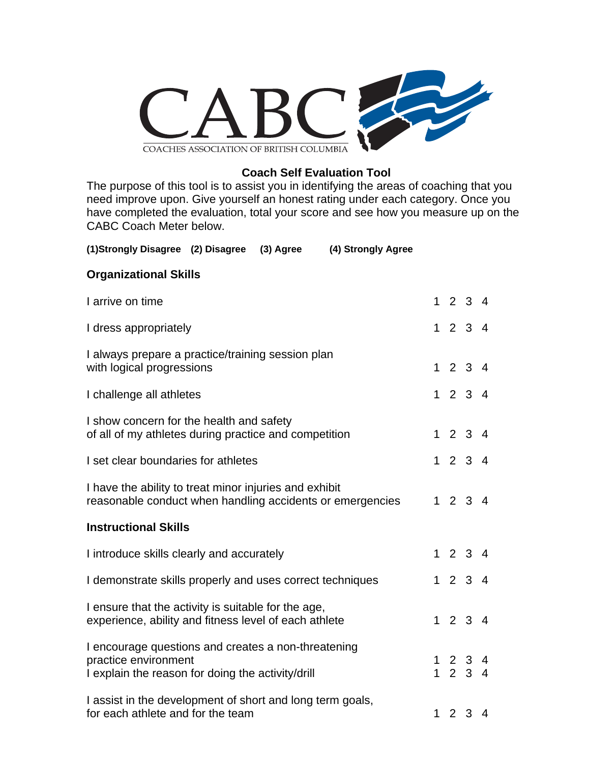

## **Coach Self Evaluation Tool**

The purpose of this tool is to assist you in identifying the areas of coaching that you need improve upon. Give yourself an honest rating under each category. Once you have completed the evaluation, total your score and see how you measure up on the CABC Coach Meter below.

| (1)Strongly Disagree (2) Disagree<br>(4) Strongly Agree<br>(3) Agree                                                             |  |                                                                  |  |
|----------------------------------------------------------------------------------------------------------------------------------|--|------------------------------------------------------------------|--|
| <b>Organizational Skills</b>                                                                                                     |  |                                                                  |  |
| I arrive on time                                                                                                                 |  | 1234                                                             |  |
| I dress appropriately                                                                                                            |  | 1234                                                             |  |
| I always prepare a practice/training session plan<br>with logical progressions                                                   |  | 1234                                                             |  |
| I challenge all athletes                                                                                                         |  | 1234                                                             |  |
| I show concern for the health and safety<br>of all of my athletes during practice and competition                                |  | 1234                                                             |  |
| I set clear boundaries for athletes                                                                                              |  | 1234                                                             |  |
| I have the ability to treat minor injuries and exhibit<br>reasonable conduct when handling accidents or emergencies              |  | 1234                                                             |  |
| <b>Instructional Skills</b>                                                                                                      |  |                                                                  |  |
| I introduce skills clearly and accurately                                                                                        |  | 1234                                                             |  |
| I demonstrate skills properly and uses correct techniques                                                                        |  | 1234                                                             |  |
| I ensure that the activity is suitable for the age,<br>experience, ability and fitness level of each athlete                     |  | 1234                                                             |  |
| I encourage questions and creates a non-threatening<br>practice environment<br>I explain the reason for doing the activity/drill |  | $\begin{array}{cccc} 1 & 2 & 3 & 4 \\ 1 & 2 & 3 & 4 \end{array}$ |  |
| I assist in the development of short and long term goals,<br>for each athlete and for the team                                   |  | 1234                                                             |  |